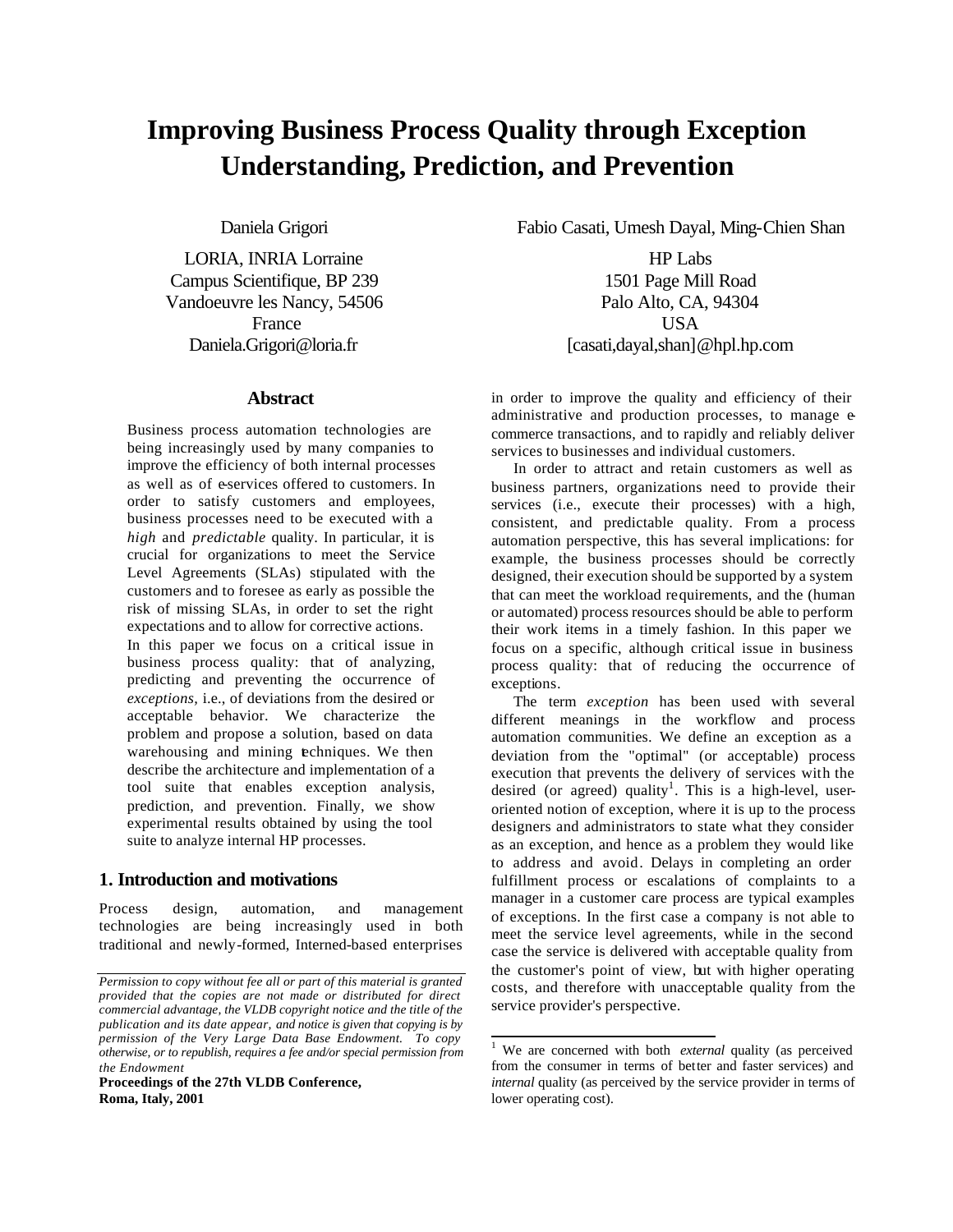# **Improving Business Process Quality through Exception Understanding, Prediction, and Prevention**

Daniela Grigori

LORIA, INRIA Lorraine Campus Scientifique, BP 239 Vandoeuvre les Nancy, 54506 France Daniela.Grigori@loria.fr

## **Abstract**

Business process automation technologies are being increasingly used by many companies to improve the efficiency of both internal processes as well as of e-services offered to customers. In order to satisfy customers and employees, business processes need to be executed with a *high* and *predictable* quality. In particular, it is crucial for organizations to meet the Service Level Agreements (SLAs) stipulated with the customers and to foresee as early as possible the risk of missing SLAs, in order to set the right expectations and to allow for corrective actions. In this paper we focus on a critical issue in business process quality: that of analyzing, predicting and preventing the occurrence of *exceptions,* i.e., of deviations from the desired or

acceptable behavior. We characterize the problem and propose a solution, based on data warehousing and mining techniques. We then describe the architecture and implementation of a tool suite that enables exception analysis, prediction, and prevention. Finally, we show experimental results obtained by using the tool suite to analyze internal HP processes.

# **1. Introduction and motivations**

Process design, automation, and management technologies are being increasingly used in both traditional and newly-formed, Interned-based enterprises

**Proceedings of the 27th VLDB Conference, Roma, Italy, 2001**

Fabio Casati, Umesh Dayal, Ming-Chien Shan

HP Labs 1501 Page Mill Road Palo Alto, CA, 94304 USA [casati,dayal,shan]@hpl.hp.com

in order to improve the quality and efficiency of their administrative and production processes, to manage ecommerce transactions, and to rapidly and reliably deliver services to businesses and individual customers.

In order to attract and retain customers as well as business partners, organizations need to provide their services (i.e., execute their processes) with a high, consistent, and predictable quality. From a process automation perspective, this has several implications: for example, the business processes should be correctly designed, their execution should be supported by a system that can meet the workload requirements, and the (human or automated) process resources should be able to perform their work items in a timely fashion. In this paper we focus on a specific, although critical issue in business process quality: that of reducing the occurrence of exceptions.

The term *exception* has been used with several different meanings in the workflow and process automation communities. We define an exception as a deviation from the "optimal" (or acceptable) process execution that prevents the delivery of services with the desired (or agreed) quality<sup>1</sup>. This is a high-level, useroriented notion of exception, where it is up to the process designers and administrators to state what they consider as an exception, and hence as a problem they would like to address and avoid. Delays in completing an order fulfillment process or escalations of complaints to a manager in a customer care process are typical examples of exceptions. In the first case a company is not able to meet the service level agreements, while in the second case the service is delivered with acceptable quality from the customer's point of view, but with higher operating costs, and therefore with unacceptable quality from the service provider's perspective.

*Permission to copy without fee all or part of this material is granted provided that the copies are not made or distributed for direct commercial advantage, the VLDB copyright notice and the title of the publication and its date appear, and notice is given that copying is by permission of the Very Large Data Base Endowment. To copy otherwise, or to republish, requires a fee and/or special permission from the Endowment*

<sup>&</sup>lt;sup>1</sup> We are concerned with both *external* quality (as perceived from the consumer in terms of better and faster services) and *internal* quality (as perceived by the service provider in terms of lower operating cost).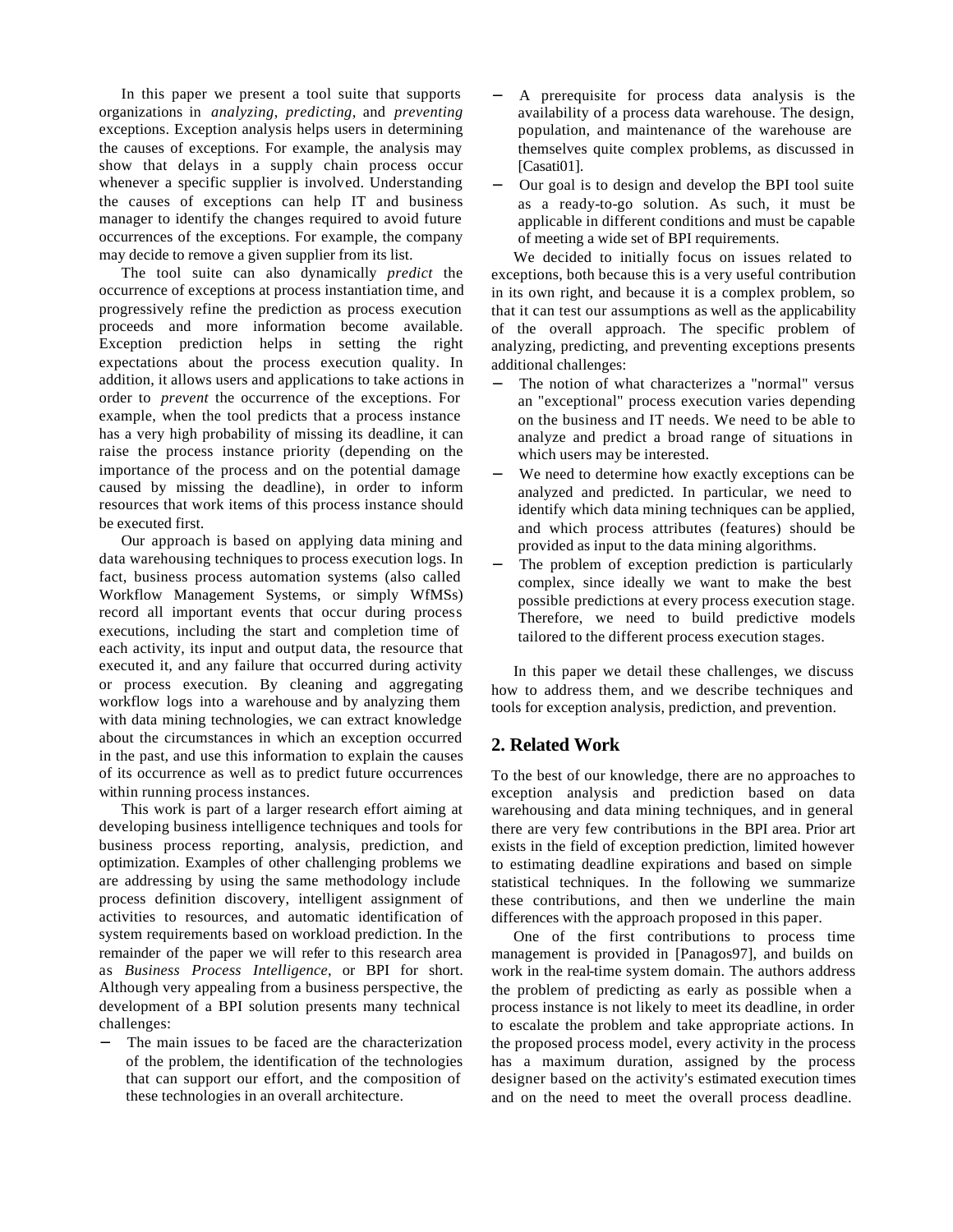In this paper we present a tool suite that supports organizations in *analyzing*, *predicting*, and *preventing* exceptions. Exception analysis helps users in determining the causes of exceptions. For example, the analysis may show that delays in a supply chain process occur whenever a specific supplier is involved. Understanding the causes of exceptions can help IT and business manager to identify the changes required to avoid future occurrences of the exceptions. For example, the company may decide to remove a given supplier from its list.

The tool suite can also dynamically *predict* the occurrence of exceptions at process instantiation time, and progressively refine the prediction as process execution proceeds and more information become available. Exception prediction helps in setting the right expectations about the process execution quality. In addition, it allows users and applications to take actions in order to *prevent* the occurrence of the exceptions. For example, when the tool predicts that a process instance has a very high probability of missing its deadline, it can raise the process instance priority (depending on the importance of the process and on the potential damage caused by missing the deadline), in order to inform resources that work items of this process instance should be executed first.

Our approach is based on applying data mining and data warehousing techniques to process execution logs. In fact, business process automation systems (also called Workflow Management Systems, or simply WfMSs) record all important events that occur during process executions, including the start and completion time of each activity, its input and output data, the resource that executed it, and any failure that occurred during activity or process execution. By cleaning and aggregating workflow logs into a warehouse and by analyzing them with data mining technologies, we can extract knowledge about the circumstances in which an exception occurred in the past, and use this information to explain the causes of its occurrence as well as to predict future occurrences within running process instances.

This work is part of a larger research effort aiming at developing business intelligence techniques and tools for business process reporting, analysis, prediction, and optimization. Examples of other challenging problems we are addressing by using the same methodology include process definition discovery, intelligent assignment of activities to resources, and automatic identification of system requirements based on workload prediction. In the remainder of the paper we will refer to this research area as *Business Process Intelligence*, or BPI for short. Although very appealing from a business perspective, the development of a BPI solution presents many technical challenges:

The main issues to be faced are the characterization of the problem, the identification of the technologies that can support our effort, and the composition of these technologies in an overall architecture.

- A prerequisite for process data analysis is the availability of a process data warehouse. The design, population, and maintenance of the warehouse are themselves quite complex problems, as discussed in [Casati01].
- − Our goal is to design and develop the BPI tool suite as a ready-to-go solution. As such, it must be applicable in different conditions and must be capable of meeting a wide set of BPI requirements.

We decided to initially focus on issues related to exceptions, both because this is a very useful contribution in its own right, and because it is a complex problem, so that it can test our assumptions as well as the applicability of the overall approach. The specific problem of analyzing, predicting, and preventing exceptions presents additional challenges:

- The notion of what characterizes a "normal" versus an "exceptional" process execution varies depending on the business and IT needs. We need to be able to analyze and predict a broad range of situations in which users may be interested.
- We need to determine how exactly exceptions can be analyzed and predicted. In particular, we need to identify which data mining techniques can be applied, and which process attributes (features) should be provided as input to the data mining algorithms.
- The problem of exception prediction is particularly complex, since ideally we want to make the best possible predictions at every process execution stage. Therefore, we need to build predictive models tailored to the different process execution stages.

In this paper we detail these challenges, we discuss how to address them, and we describe techniques and tools for exception analysis, prediction, and prevention.

# **2. Related Work**

To the best of our knowledge, there are no approaches to exception analysis and prediction based on data warehousing and data mining techniques, and in general there are very few contributions in the BPI area. Prior art exists in the field of exception prediction, limited however to estimating deadline expirations and based on simple statistical techniques. In the following we summarize these contributions, and then we underline the main differences with the approach proposed in this paper.

One of the first contributions to process time management is provided in [Panagos97], and builds on work in the real-time system domain. The authors address the problem of predicting as early as possible when a process instance is not likely to meet its deadline, in order to escalate the problem and take appropriate actions. In the proposed process model, every activity in the process has a maximum duration, assigned by the process designer based on the activity's estimated execution times and on the need to meet the overall process deadline.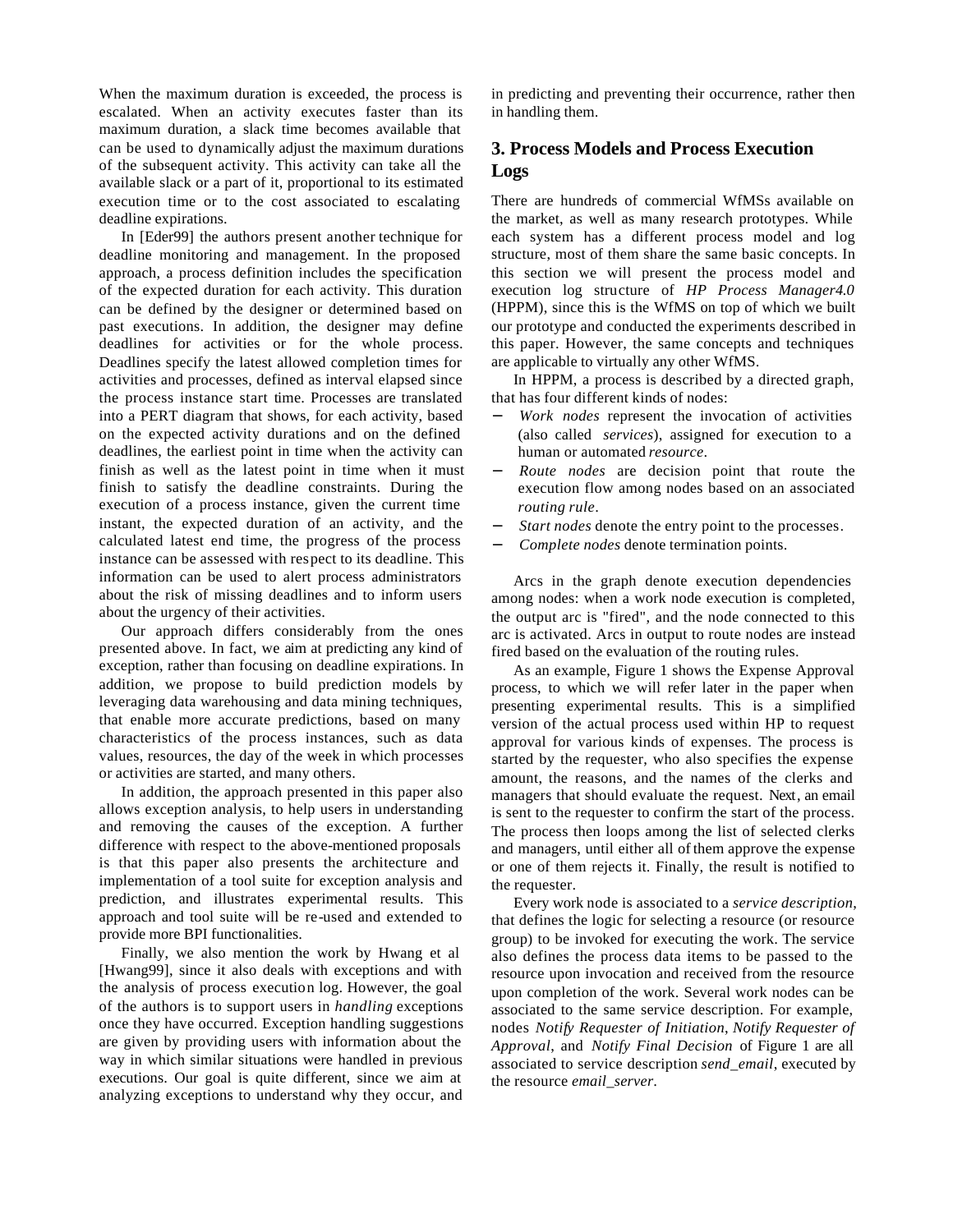When the maximum duration is exceeded, the process is escalated. When an activity executes faster than its maximum duration, a slack time becomes available that can be used to dynamically adjust the maximum durations of the subsequent activity. This activity can take all the available slack or a part of it, proportional to its estimated execution time or to the cost associated to escalating deadline expirations.

In [Eder99] the authors present another technique for deadline monitoring and management. In the proposed approach, a process definition includes the specification of the expected duration for each activity. This duration can be defined by the designer or determined based on past executions. In addition, the designer may define deadlines for activities or for the whole process. Deadlines specify the latest allowed completion times for activities and processes, defined as interval elapsed since the process instance start time. Processes are translated into a PERT diagram that shows, for each activity, based on the expected activity durations and on the defined deadlines, the earliest point in time when the activity can finish as well as the latest point in time when it must finish to satisfy the deadline constraints. During the execution of a process instance, given the current time instant, the expected duration of an activity, and the calculated latest end time, the progress of the process instance can be assessed with respect to its deadline. This information can be used to alert process administrators about the risk of missing deadlines and to inform users about the urgency of their activities.

Our approach differs considerably from the ones presented above. In fact, we aim at predicting any kind of exception, rather than focusing on deadline expirations. In addition, we propose to build prediction models by leveraging data warehousing and data mining techniques, that enable more accurate predictions, based on many characteristics of the process instances, such as data values, resources, the day of the week in which processes or activities are started, and many others.

In addition, the approach presented in this paper also allows exception analysis, to help users in understanding and removing the causes of the exception. A further difference with respect to the above-mentioned proposals is that this paper also presents the architecture and implementation of a tool suite for exception analysis and prediction, and illustrates experimental results. This approach and tool suite will be re-used and extended to provide more BPI functionalities.

Finally, we also mention the work by Hwang et al [Hwang99], since it also deals with exceptions and with the analysis of process execution log. However, the goal of the authors is to support users in *handling* exceptions once they have occurred. Exception handling suggestions are given by providing users with information about the way in which similar situations were handled in previous executions. Our goal is quite different, since we aim at analyzing exceptions to understand why they occur, and

in predicting and preventing their occurrence, rather then in handling them.

# **3. Process Models and Process Execution Logs**

There are hundreds of commercial WfMSs available on the market, as well as many research prototypes. While each system has a different process model and log structure, most of them share the same basic concepts. In this section we will present the process model and execution log structure of *HP Process Manager4.0* (HPPM), since this is the WfMS on top of which we built our prototype and conducted the experiments described in this paper. However, the same concepts and techniques are applicable to virtually any other WfMS.

In HPPM, a process is described by a directed graph, that has four different kinds of nodes:

- − *Work nodes* represent the invocation of activities (also called *services*), assigned for execution to a human or automated *resource*.
- − *Route nodes* are decision point that route the execution flow among nodes based on an associated *routing rule*.
- Start nodes denote the entry point to the processes.
- − *Complete nodes* denote termination points.

Arcs in the graph denote execution dependencies among nodes: when a work node execution is completed, the output arc is "fired", and the node connected to this arc is activated. Arcs in output to route nodes are instead fired based on the evaluation of the routing rules.

As an example, Figure 1 shows the Expense Approval process, to which we will refer later in the paper when presenting experimental results. This is a simplified version of the actual process used within HP to request approval for various kinds of expenses. The process is started by the requester, who also specifies the expense amount, the reasons, and the names of the clerks and managers that should evaluate the request. Next, an email is sent to the requester to confirm the start of the process. The process then loops among the list of selected clerks and managers, until either all of them approve the expense or one of them rejects it. Finally, the result is notified to the requester.

Every work node is associated to a *service description*, that defines the logic for selecting a resource (or resource group) to be invoked for executing the work. The service also defines the process data items to be passed to the resource upon invocation and received from the resource upon completion of the work. Several work nodes can be associated to the same service description. For example, nodes *Notify Requester of Initiation*, *Notify Requester of Approval*, and *Notify Final Decision* of Figure 1 are all associated to service description *send\_email*, executed by the resource *email\_server*.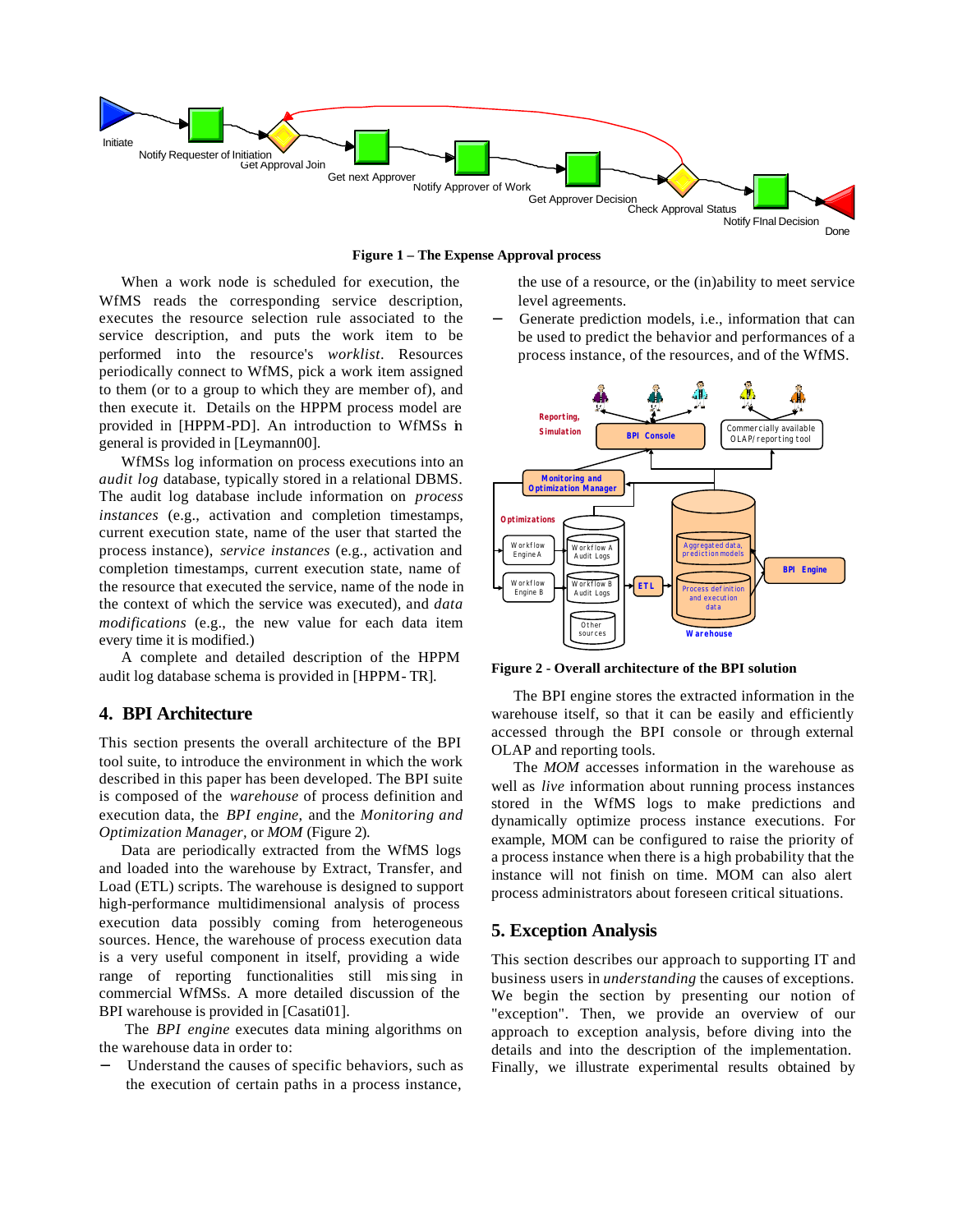

**Figure 1 – The Expense Approval process**

When a work node is scheduled for execution, the WfMS reads the corresponding service description, executes the resource selection rule associated to the service description, and puts the work item to be performed into the resource's *worklist*. Resources periodically connect to WfMS, pick a work item assigned to them (or to a group to which they are member of), and then execute it. Details on the HPPM process model are provided in [HPPM-PD]. An introduction to WfMSs in general is provided in [Leymann00].

WfMSs log information on process executions into an *audit log* database, typically stored in a relational DBMS. The audit log database include information on *process instances* (e.g., activation and completion timestamps, current execution state, name of the user that started the process instance), *service instances* (e.g., activation and completion timestamps, current execution state, name of the resource that executed the service, name of the node in the context of which the service was executed), and *data modifications* (e.g., the new value for each data item every time it is modified.)

A complete and detailed description of the HPPM audit log database schema is provided in [HPPM- TR].

# **4. BPI Architecture**

This section presents the overall architecture of the BPI tool suite, to introduce the environment in which the work described in this paper has been developed. The BPI suite is composed of the *warehouse* of process definition and execution data, the *BPI engine*, and the *Monitoring and Optimization Manager,* or *MOM* (Figure 2).

Data are periodically extracted from the WfMS logs and loaded into the warehouse by Extract, Transfer, and Load (ETL) scripts. The warehouse is designed to support high-performance multidimensional analysis of process execution data possibly coming from heterogeneous sources. Hence, the warehouse of process execution data is a very useful component in itself, providing a wide range of reporting functionalities still missing in commercial WfMSs. A more detailed discussion of the BPI warehouse is provided in [Casati01].

 The *BPI engine* executes data mining algorithms on the warehouse data in order to:

Understand the causes of specific behaviors, such as the execution of certain paths in a process instance,

the use of a resource, or the (in)ability to meet service level agreements.

Generate prediction models, i.e., information that can be used to predict the behavior and performances of a process instance, of the resources, and of the WfMS.



**Figure 2 - Overall architecture of the BPI solution** 

The BPI engine stores the extracted information in the warehouse itself, so that it can be easily and efficiently accessed through the BPI console or through external OLAP and reporting tools.

The *MOM* accesses information in the warehouse as well as *live* information about running process instances stored in the WfMS logs to make predictions and dynamically optimize process instance executions. For example, MOM can be configured to raise the priority of a process instance when there is a high probability that the instance will not finish on time. MOM can also alert process administrators about foreseen critical situations.

# **5. Exception Analysis**

This section describes our approach to supporting IT and business users in *understanding* the causes of exceptions. We begin the section by presenting our notion of "exception". Then, we provide an overview of our approach to exception analysis, before diving into the details and into the description of the implementation. Finally, we illustrate experimental results obtained by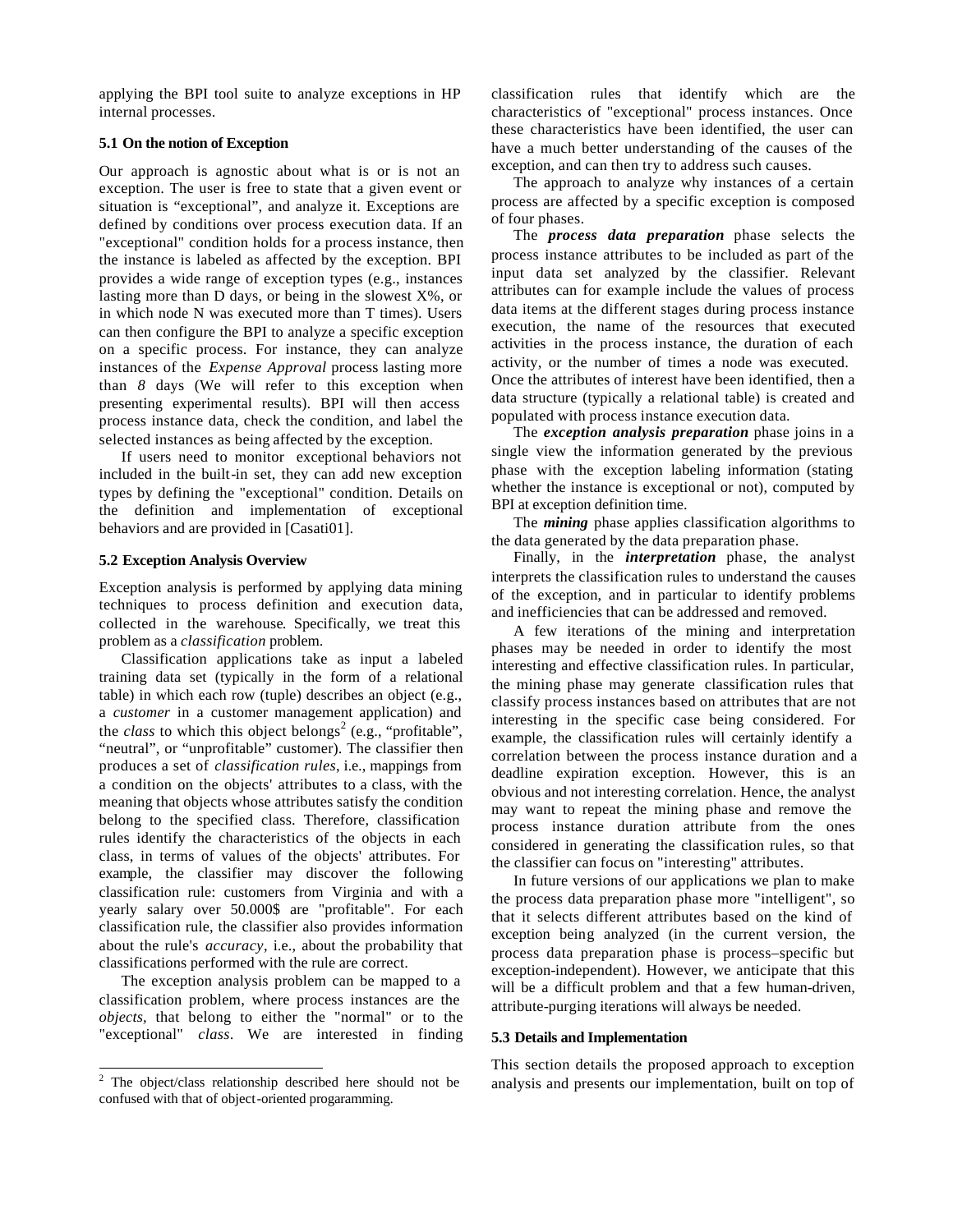applying the BPI tool suite to analyze exceptions in HP internal processes.

#### **5.1 On the notion of Exception**

Our approach is agnostic about what is or is not an exception. The user is free to state that a given event or situation is "exceptional", and analyze it. Exceptions are defined by conditions over process execution data. If an "exceptional" condition holds for a process instance, then the instance is labeled as affected by the exception. BPI provides a wide range of exception types (e.g., instances lasting more than  $D$  days, or being in the slowest  $X\%$ , or in which node N was executed more than T times). Users can then configure the BPI to analyze a specific exception on a specific process. For instance, they can analyze instances of the *Expense Approval* process lasting more than *8* days (We will refer to this exception when presenting experimental results). BPI will then access process instance data, check the condition, and label the selected instances as being affected by the exception.

If users need to monitor exceptional behaviors not included in the built-in set, they can add new exception types by defining the "exceptional" condition. Details on the definition and implementation of exceptional behaviors and are provided in [Casati01].

## **5.2 Exception Analysis Overview**

Exception analysis is performed by applying data mining techniques to process definition and execution data, collected in the warehouse. Specifically, we treat this problem as a *classification* problem.

Classification applications take as input a labeled training data set (typically in the form of a relational table) in which each row (tuple) describes an object (e.g., a *customer* in a customer management application) and the *class* to which this object belongs<sup>2</sup> (e.g., "profitable", "neutral", or "unprofitable" customer). The classifier then produces a set of *classification rules*, i.e., mappings from a condition on the objects' attributes to a class, with the meaning that objects whose attributes satisfy the condition belong to the specified class. Therefore, classification rules identify the characteristics of the objects in each class, in terms of values of the objects' attributes. For example, the classifier may discover the following classification rule: customers from Virginia and with a yearly salary over 50.000\$ are "profitable". For each classification rule, the classifier also provides information about the rule's *accuracy*, i.e., about the probability that classifications performed with the rule are correct.

The exception analysis problem can be mapped to a classification problem, where process instances are the *objects,* that belong to either the "normal" or to the "exceptional" *class*. We are interested in finding

l

classification rules that identify which are the characteristics of "exceptional" process instances. Once these characteristics have been identified, the user can have a much better understanding of the causes of the exception, and can then try to address such causes.

The approach to analyze why instances of a certain process are affected by a specific exception is composed of four phases.

The *process data preparation* phase selects the process instance attributes to be included as part of the input data set analyzed by the classifier. Relevant attributes can for example include the values of process data items at the different stages during process instance execution, the name of the resources that executed activities in the process instance, the duration of each activity, or the number of times a node was executed. Once the attributes of interest have been identified, then a data structure (typically a relational table) is created and populated with process instance execution data.

The *exception analysis preparation* phase joins in a single view the information generated by the previous phase with the exception labeling information (stating whether the instance is exceptional or not), computed by BPI at exception definition time.

The *mining* phase applies classification algorithms to the data generated by the data preparation phase.

Finally, in the *interpretation* phase, the analyst interprets the classification rules to understand the causes of the exception, and in particular to identify problems and inefficiencies that can be addressed and removed.

A few iterations of the mining and interpretation phases may be needed in order to identify the most interesting and effective classification rules. In particular, the mining phase may generate classification rules that classify process instances based on attributes that are not interesting in the specific case being considered. For example, the classification rules will certainly identify a correlation between the process instance duration and a deadline expiration exception. However, this is an obvious and not interesting correlation. Hence, the analyst may want to repeat the mining phase and remove the process instance duration attribute from the ones considered in generating the classification rules, so that the classifier can focus on "interesting" attributes.

In future versions of our applications we plan to make the process data preparation phase more "intelligent", so that it selects different attributes based on the kind of exception being analyzed (in the current version, the process data preparation phase is process–specific but exception-independent). However, we anticipate that this will be a difficult problem and that a few human-driven, attribute-purging iterations will always be needed.

#### **5.3 Details and Implementation**

This section details the proposed approach to exception analysis and presents our implementation, built on top of

 $2$  The object/class relationship described here should not be confused with that of object-oriented progaramming.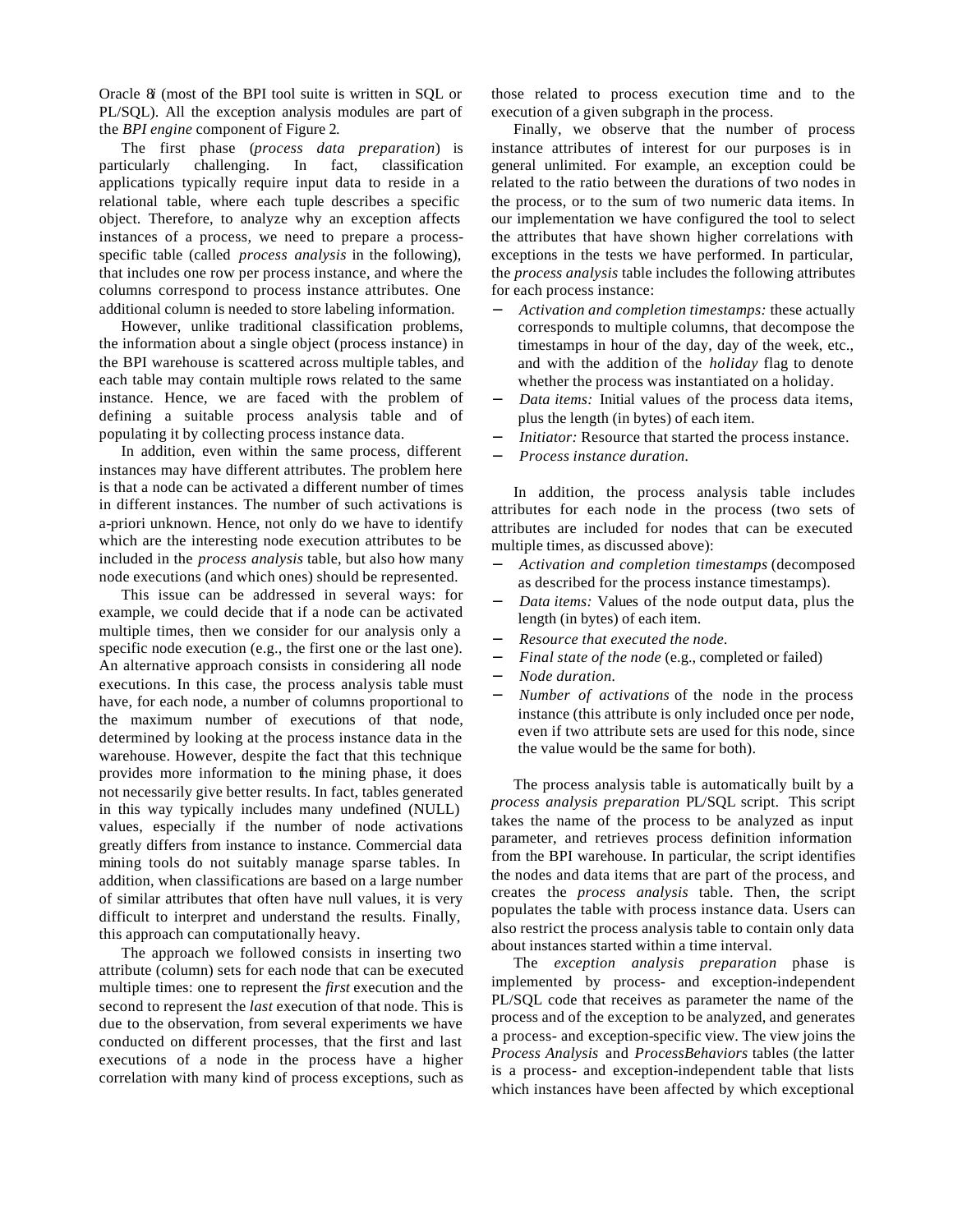Oracle 8*i* (most of the BPI tool suite is written in SQL or PL/SQL). All the exception analysis modules are part of the *BPI engine* component of Figure 2.

The first phase (*process data preparation*) is particularly challenging. In fact, classification applications typically require input data to reside in a relational table, where each tuple describes a specific object. Therefore, to analyze why an exception affects instances of a process, we need to prepare a processspecific table (called *process analysis* in the following), that includes one row per process instance, and where the columns correspond to process instance attributes. One additional column is needed to store labeling information.

However, unlike traditional classification problems, the information about a single object (process instance) in the BPI warehouse is scattered across multiple tables, and each table may contain multiple rows related to the same instance. Hence, we are faced with the problem of defining a suitable process analysis table and of populating it by collecting process instance data.

In addition, even within the same process, different instances may have different attributes. The problem here is that a node can be activated a different number of times in different instances. The number of such activations is a-priori unknown. Hence, not only do we have to identify which are the interesting node execution attributes to be included in the *process analysis* table, but also how many node executions (and which ones) should be represented.

This issue can be addressed in several ways: for example, we could decide that if a node can be activated multiple times, then we consider for our analysis only a specific node execution (e.g., the first one or the last one). An alternative approach consists in considering all node executions. In this case, the process analysis table must have, for each node, a number of columns proportional to the maximum number of executions of that node, determined by looking at the process instance data in the warehouse. However, despite the fact that this technique provides more information to the mining phase, it does not necessarily give better results. In fact, tables generated in this way typically includes many undefined (NULL) values, especially if the number of node activations greatly differs from instance to instance. Commercial data mining tools do not suitably manage sparse tables. In addition, when classifications are based on a large number of similar attributes that often have null values, it is very difficult to interpret and understand the results. Finally, this approach can computationally heavy.

The approach we followed consists in inserting two attribute (column) sets for each node that can be executed multiple times: one to represent the *first* execution and the second to represent the *last* execution of that node. This is due to the observation, from several experiments we have conducted on different processes, that the first and last executions of a node in the process have a higher correlation with many kind of process exceptions, such as those related to process execution time and to the execution of a given subgraph in the process.

Finally, we observe that the number of process instance attributes of interest for our purposes is in general unlimited. For example, an exception could be related to the ratio between the durations of two nodes in the process, or to the sum of two numeric data items. In our implementation we have configured the tool to select the attributes that have shown higher correlations with exceptions in the tests we have performed. In particular, the *process analysis* table includes the following attributes for each process instance:

- − *Activation and completion timestamps:* these actually corresponds to multiple columns, that decompose the timestamps in hour of the day, day of the week, etc., and with the addition of the *holiday* flag to denote whether the process was instantiated on a holiday.
- Data items: Initial values of the process data items, plus the length (in bytes) of each item.
- *Initiator:* Resource that started the process instance.
- − *Process instance duration.*

In addition, the process analysis table includes attributes for each node in the process (two sets of attributes are included for nodes that can be executed multiple times, as discussed above):

- − *Activation and completion timestamps* (decomposed as described for the process instance timestamps).
- *Data items:* Values of the node output data, plus the length (in bytes) of each item.
- − *Resource that executed the node.*
- Final state of the node (e.g., completed or failed)
- − *Node duration.*
- *Number of activations* of the node in the process instance (this attribute is only included once per node, even if two attribute sets are used for this node, since the value would be the same for both).

The process analysis table is automatically built by a *process analysis preparation* PL/SQL script. This script takes the name of the process to be analyzed as input parameter, and retrieves process definition information from the BPI warehouse. In particular, the script identifies the nodes and data items that are part of the process, and creates the *process analysis* table. Then, the script populates the table with process instance data. Users can also restrict the process analysis table to contain only data about instances started within a time interval.

The *exception analysis preparation* phase is implemented by process- and exception-independent PL/SQL code that receives as parameter the name of the process and of the exception to be analyzed, and generates a process- and exception-specific view. The view joins the *Process Analysis* and *ProcessBehaviors* tables (the latter is a process- and exception-independent table that lists which instances have been affected by which exceptional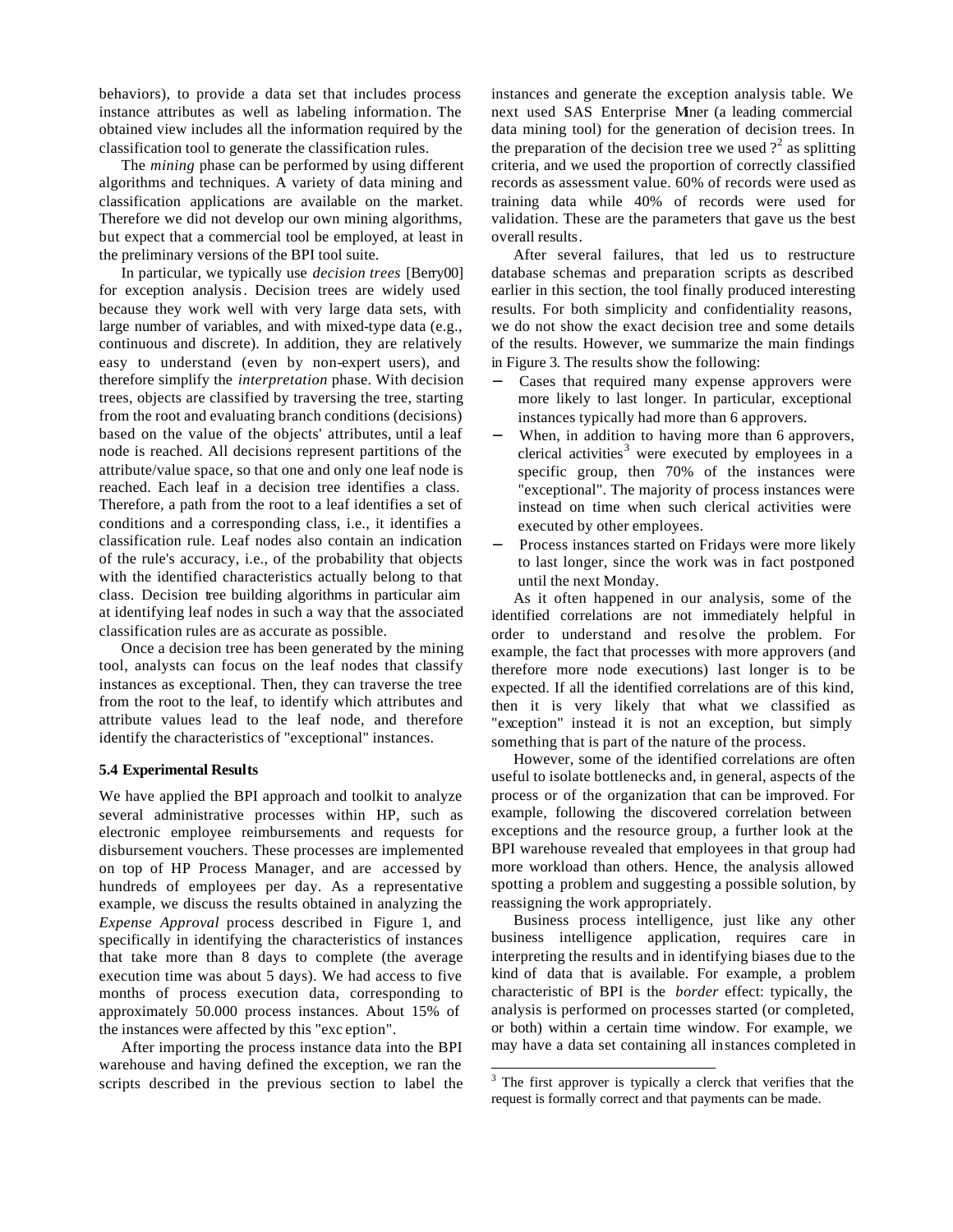behaviors), to provide a data set that includes process instance attributes as well as labeling information. The obtained view includes all the information required by the classification tool to generate the classification rules.

The *mining* phase can be performed by using different algorithms and techniques. A variety of data mining and classification applications are available on the market. Therefore we did not develop our own mining algorithms, but expect that a commercial tool be employed, at least in the preliminary versions of the BPI tool suite.

In particular, we typically use *decision trees* [Berry00] for exception analysis*.* Decision trees are widely used because they work well with very large data sets, with large number of variables, and with mixed-type data (e.g., continuous and discrete). In addition, they are relatively easy to understand (even by non-expert users), and therefore simplify the *interpretation* phase. With decision trees, objects are classified by traversing the tree, starting from the root and evaluating branch conditions (decisions) based on the value of the objects' attributes, until a leaf node is reached. All decisions represent partitions of the attribute/value space, so that one and only one leaf node is reached. Each leaf in a decision tree identifies a class. Therefore, a path from the root to a leaf identifies a set of conditions and a corresponding class, i.e., it identifies a classification rule. Leaf nodes also contain an indication of the rule's accuracy, i.e., of the probability that objects with the identified characteristics actually belong to that class. Decision tree building algorithms in particular aim at identifying leaf nodes in such a way that the associated classification rules are as accurate as possible.

Once a decision tree has been generated by the mining tool, analysts can focus on the leaf nodes that classify instances as exceptional. Then, they can traverse the tree from the root to the leaf, to identify which attributes and attribute values lead to the leaf node, and therefore identify the characteristics of "exceptional" instances.

#### **5.4 Experimental Results**

We have applied the BPI approach and toolkit to analyze several administrative processes within HP, such as electronic employee reimbursements and requests for disbursement vouchers. These processes are implemented on top of HP Process Manager, and are accessed by hundreds of employees per day. As a representative example, we discuss the results obtained in analyzing the *Expense Approval* process described in Figure 1, and specifically in identifying the characteristics of instances that take more than 8 days to complete (the average execution time was about 5 days). We had access to five months of process execution data, corresponding to approximately 50.000 process instances. About 15% of the instances were affected by this "exc eption".

After importing the process instance data into the BPI warehouse and having defined the exception, we ran the scripts described in the previous section to label the instances and generate the exception analysis table. We next used SAS Enterprise Miner (a leading commercial data mining tool) for the generation of decision trees. In the preparation of the decision tree we used  $?^2$  as splitting criteria, and we used the proportion of correctly classified records as assessment value. 60% of records were used as training data while 40% of records were used for validation. These are the parameters that gave us the best overall results.

After several failures, that led us to restructure database schemas and preparation scripts as described earlier in this section, the tool finally produced interesting results. For both simplicity and confidentiality reasons, we do not show the exact decision tree and some details of the results. However, we summarize the main findings in Figure 3. The results show the following:

- Cases that required many expense approvers were more likely to last longer. In particular, exceptional instances typically had more than 6 approvers.
- When, in addition to having more than 6 approvers, clerical activities<sup>3</sup> were executed by employees in a specific group, then 70% of the instances were "exceptional". The majority of process instances were instead on time when such clerical activities were executed by other employees.
- Process instances started on Fridays were more likely to last longer, since the work was in fact postponed until the next Monday.

As it often happened in our analysis, some of the identified correlations are not immediately helpful in order to understand and resolve the problem. For example, the fact that processes with more approvers (and therefore more node executions) last longer is to be expected. If all the identified correlations are of this kind, then it is very likely that what we classified as "exception" instead it is not an exception, but simply something that is part of the nature of the process.

However, some of the identified correlations are often useful to isolate bottlenecks and, in general, aspects of the process or of the organization that can be improved. For example, following the discovered correlation between exceptions and the resource group, a further look at the BPI warehouse revealed that employees in that group had more workload than others. Hence, the analysis allowed spotting a problem and suggesting a possible solution, by reassigning the work appropriately.

Business process intelligence, just like any other business intelligence application, requires care in interpreting the results and in identifying biases due to the kind of data that is available. For example, a problem characteristic of BPI is the *border* effect: typically, the analysis is performed on processes started (or completed, or both) within a certain time window. For example, we may have a data set containing all instances completed in

l

<sup>&</sup>lt;sup>3</sup> The first approver is typically a clerck that verifies that the request is formally correct and that payments can be made.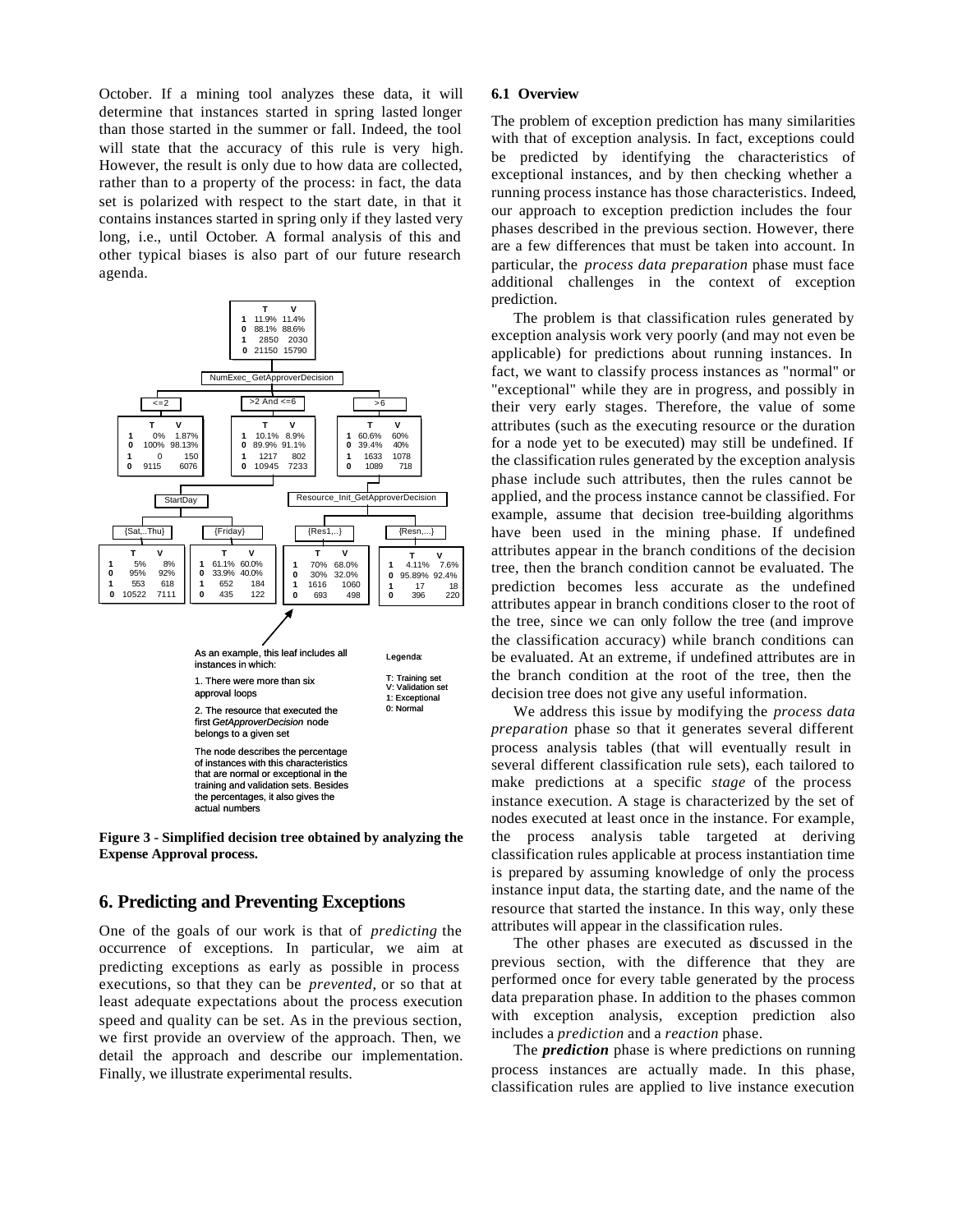October. If a mining tool analyzes these data, it will determine that instances started in spring lasted longer than those started in the summer or fall. Indeed, the tool will state that the accuracy of this rule is very high. However, the result is only due to how data are collected, rather than to a property of the process: in fact, the data set is polarized with respect to the start date, in that it contains instances started in spring only if they lasted very long, i.e., until October. A formal analysis of this and other typical biases is also part of our future research agenda.



**Figure 3 - Simplified decision tree obtained by analyzing the Expense Approval process.**

# **6. Predicting and Preventing Exceptions**

One of the goals of our work is that of *predicting* the occurrence of exceptions. In particular, we aim at predicting exceptions as early as possible in process executions, so that they can be *prevented,* or so that at least adequate expectations about the process execution speed and quality can be set. As in the previous section, we first provide an overview of the approach. Then, we detail the approach and describe our implementation. Finally, we illustrate experimental results.

#### **6.1 Overview**

The problem of exception prediction has many similarities with that of exception analysis. In fact, exceptions could be predicted by identifying the characteristics of exceptional instances, and by then checking whether a running process instance has those characteristics. Indeed, our approach to exception prediction includes the four phases described in the previous section. However, there are a few differences that must be taken into account. In particular, the *process data preparation* phase must face additional challenges in the context of exception prediction.

The problem is that classification rules generated by exception analysis work very poorly (and may not even be applicable) for predictions about running instances. In fact, we want to classify process instances as "normal" or "exceptional" while they are in progress, and possibly in their very early stages. Therefore, the value of some attributes (such as the executing resource or the duration for a node yet to be executed) may still be undefined. If the classification rules generated by the exception analysis phase include such attributes, then the rules cannot be applied, and the process instance cannot be classified. For example, assume that decision tree-building algorithms have been used in the mining phase. If undefined attributes appear in the branch conditions of the decision tree, then the branch condition cannot be evaluated. The prediction becomes less accurate as the undefined attributes appear in branch conditions closer to the root of the tree, since we can only follow the tree (and improve the classification accuracy) while branch conditions can be evaluated. At an extreme, if undefined attributes are in the branch condition at the root of the tree, then the decision tree does not give any useful information.

We address this issue by modifying the *process data preparation* phase so that it generates several different process analysis tables (that will eventually result in several different classification rule sets), each tailored to make predictions at a specific *stage* of the process instance execution. A stage is characterized by the set of nodes executed at least once in the instance. For example, the process analysis table targeted at deriving classification rules applicable at process instantiation time is prepared by assuming knowledge of only the process instance input data, the starting date, and the name of the resource that started the instance. In this way, only these attributes will appear in the classification rules.

The other phases are executed as discussed in the previous section, with the difference that they are performed once for every table generated by the process data preparation phase. In addition to the phases common with exception analysis, exception prediction also includes a *prediction* and a *reaction* phase.

The *prediction* phase is where predictions on running process instances are actually made. In this phase, classification rules are applied to live instance execution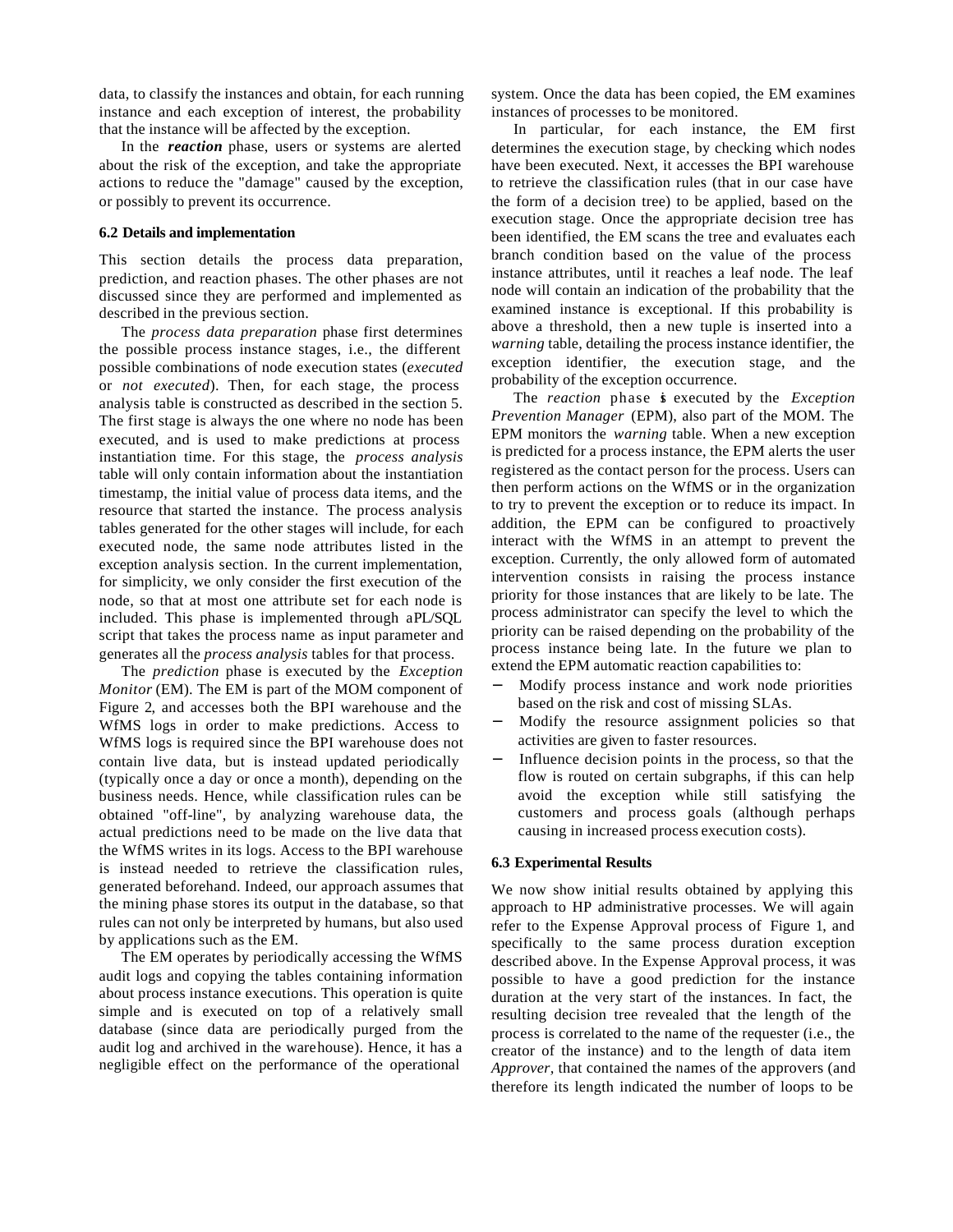data, to classify the instances and obtain, for each running instance and each exception of interest, the probability that the instance will be affected by the exception.

In the *reaction* phase, users or systems are alerted about the risk of the exception, and take the appropriate actions to reduce the "damage" caused by the exception, or possibly to prevent its occurrence.

#### **6.2 Details and implementation**

This section details the process data preparation, prediction, and reaction phases. The other phases are not discussed since they are performed and implemented as described in the previous section.

The *process data preparation* phase first determines the possible process instance stages, i.e., the different possible combinations of node execution states (*executed* or *not executed*). Then, for each stage, the process analysis table is constructed as described in the section 5. The first stage is always the one where no node has been executed, and is used to make predictions at process instantiation time. For this stage, the *process analysis* table will only contain information about the instantiation timestamp, the initial value of process data items, and the resource that started the instance. The process analysis tables generated for the other stages will include, for each executed node, the same node attributes listed in the exception analysis section. In the current implementation, for simplicity, we only consider the first execution of the node, so that at most one attribute set for each node is included. This phase is implemented through a PL/SQL script that takes the process name as input parameter and generates all the *process analysis* tables for that process.

The *prediction* phase is executed by the *Exception Monitor* (EM). The EM is part of the MOM component of Figure 2, and accesses both the BPI warehouse and the WfMS logs in order to make predictions. Access to WfMS logs is required since the BPI warehouse does not contain live data, but is instead updated periodically (typically once a day or once a month), depending on the business needs. Hence, while classification rules can be obtained "off-line", by analyzing warehouse data, the actual predictions need to be made on the live data that the WfMS writes in its logs. Access to the BPI warehouse is instead needed to retrieve the classification rules, generated beforehand. Indeed, our approach assumes that the mining phase stores its output in the database, so that rules can not only be interpreted by humans, but also used by applications such as the EM.

The EM operates by periodically accessing the WfMS audit logs and copying the tables containing information about process instance executions. This operation is quite simple and is executed on top of a relatively small database (since data are periodically purged from the audit log and archived in the warehouse). Hence, it has a negligible effect on the performance of the operational

system. Once the data has been copied, the EM examines instances of processes to be monitored.

In particular, for each instance, the EM first determines the execution stage, by checking which nodes have been executed. Next, it accesses the BPI warehouse to retrieve the classification rules (that in our case have the form of a decision tree) to be applied, based on the execution stage. Once the appropriate decision tree has been identified, the EM scans the tree and evaluates each branch condition based on the value of the process instance attributes, until it reaches a leaf node. The leaf node will contain an indication of the probability that the examined instance is exceptional. If this probability is above a threshold, then a new tuple is inserted into a *warning* table, detailing the process instance identifier, the exception identifier, the execution stage, and the probability of the exception occurrence.

The *reaction* phase **i** executed by the *Exception Prevention Manager* (EPM), also part of the MOM. The EPM monitors the *warning* table. When a new exception is predicted for a process instance, the EPM alerts the user registered as the contact person for the process. Users can then perform actions on the WfMS or in the organization to try to prevent the exception or to reduce its impact. In addition, the EPM can be configured to proactively interact with the WfMS in an attempt to prevent the exception. Currently, the only allowed form of automated intervention consists in raising the process instance priority for those instances that are likely to be late. The process administrator can specify the level to which the priority can be raised depending on the probability of the process instance being late. In the future we plan to extend the EPM automatic reaction capabilities to:

- Modify process instance and work node priorities based on the risk and cost of missing SLAs.
- Modify the resource assignment policies so that activities are given to faster resources.
- Influence decision points in the process, so that the flow is routed on certain subgraphs, if this can help avoid the exception while still satisfying the customers and process goals (although perhaps causing in increased process execution costs).

#### **6.3 Experimental Results**

We now show initial results obtained by applying this approach to HP administrative processes. We will again refer to the Expense Approval process of Figure 1, and specifically to the same process duration exception described above. In the Expense Approval process, it was possible to have a good prediction for the instance duration at the very start of the instances. In fact, the resulting decision tree revealed that the length of the process is correlated to the name of the requester (i.e., the creator of the instance) and to the length of data item *Approver,* that contained the names of the approvers (and therefore its length indicated the number of loops to be